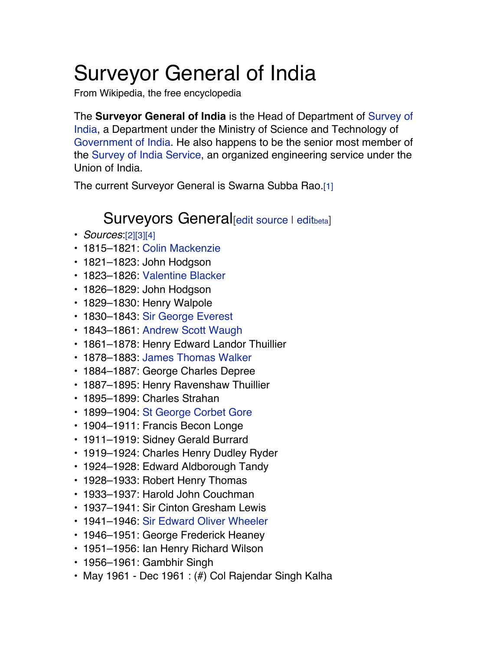## Surveyor General of India

From Wikipedia, the free encyclopedia

The **Surveyor General of India** is the Head of Department of Survey of India, a Department under the Ministry of Science and Technology of Government of India. He also happens to be the senior most member of the Survey of India Service, an organized engineering service under the Union of India.

The current Surveyor General is Swarna Subba Rao.[1]

## Surveyors General<sub>[edit source I editbeta]</sub>

- *Sources*:[2][3][4]
- 1815–1821: Colin Mackenzie
- 1821–1823: John Hodgson
- 1823–1826: Valentine Blacker
- 1826–1829: John Hodgson
- 1829–1830: Henry Walpole
- 1830–1843: Sir George Everest
- 1843–1861: Andrew Scott Waugh
- 1861–1878: Henry Edward Landor Thuillier
- 1878–1883: James Thomas Walker
- 1884–1887: George Charles Depree
- 1887–1895: Henry Ravenshaw Thuillier
- 1895–1899: Charles Strahan
- 1899–1904: St George Corbet Gore
- 1904–1911: Francis Becon Longe
- 1911–1919: Sidney Gerald Burrard
- 1919–1924: Charles Henry Dudley Ryder
- 1924–1928: Edward Aldborough Tandy
- 1928–1933: Robert Henry Thomas
- 1933–1937: Harold John Couchman
- 1937–1941: Sir Cinton Gresham Lewis
- 1941–1946: Sir Edward Oliver Wheeler
- 1946–1951: George Frederick Heaney
- 1951–1956: Ian Henry Richard Wilson
- 1956–1961: Gambhir Singh
- May 1961 Dec 1961 : (#) Col Rajendar Singh Kalha